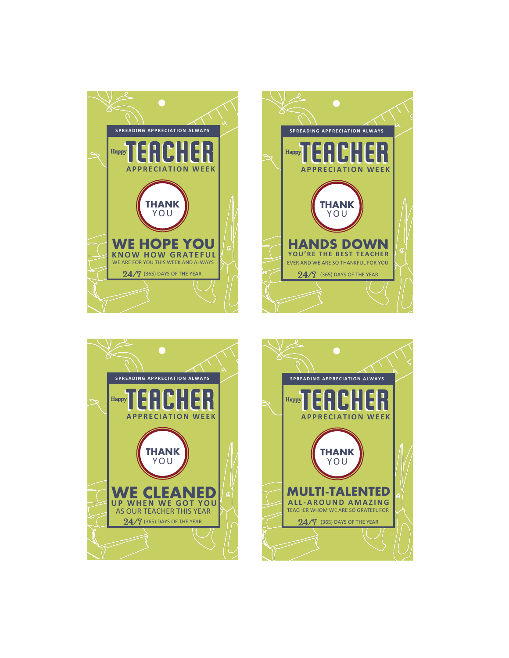





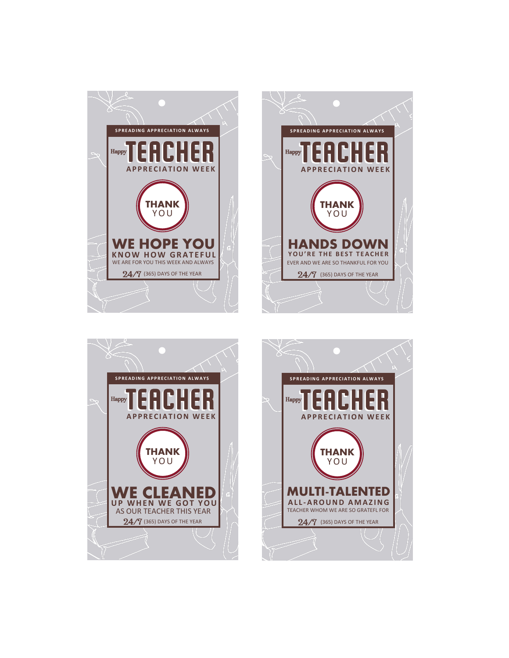